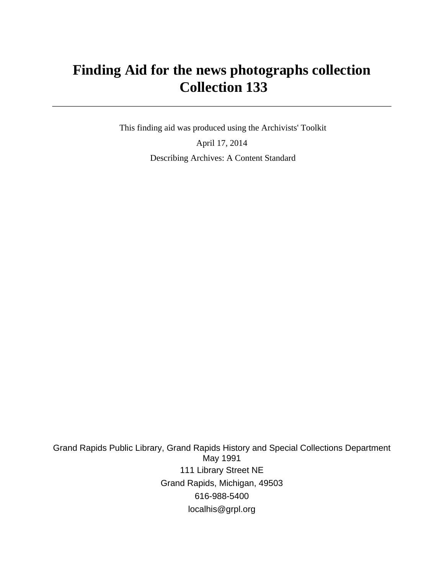# **Finding Aid for the news photographs collection Collection 133**

 This finding aid was produced using the Archivists' Toolkit April 17, 2014 Describing Archives: A Content Standard

Grand Rapids Public Library, Grand Rapids History and Special Collections Department May 1991 111 Library Street NE Grand Rapids, Michigan, 49503 616-988-5400 localhis@grpl.org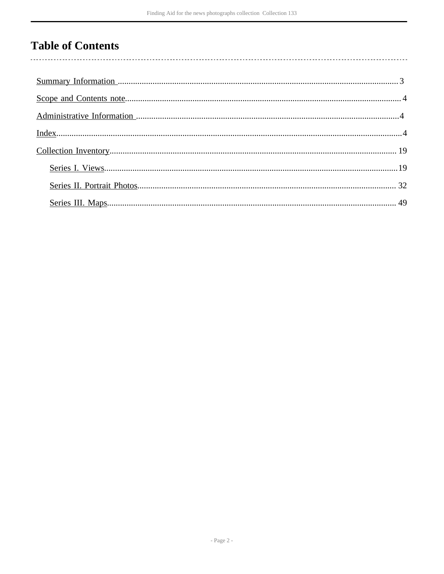## **Table of Contents**

 $\overline{\phantom{a}}$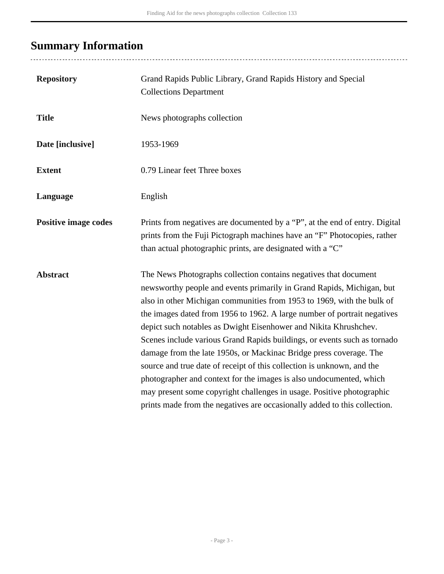# <span id="page-2-0"></span>**Summary Information**

| <b>Repository</b>           | Grand Rapids Public Library, Grand Rapids History and Special<br><b>Collections Department</b>                                                                                                                                                                                                                                                                                                                                                                                                                                                                                                                                                                                                                                                                                                                               |
|-----------------------------|------------------------------------------------------------------------------------------------------------------------------------------------------------------------------------------------------------------------------------------------------------------------------------------------------------------------------------------------------------------------------------------------------------------------------------------------------------------------------------------------------------------------------------------------------------------------------------------------------------------------------------------------------------------------------------------------------------------------------------------------------------------------------------------------------------------------------|
| <b>Title</b>                | News photographs collection                                                                                                                                                                                                                                                                                                                                                                                                                                                                                                                                                                                                                                                                                                                                                                                                  |
| Date [inclusive]            | 1953-1969                                                                                                                                                                                                                                                                                                                                                                                                                                                                                                                                                                                                                                                                                                                                                                                                                    |
| <b>Extent</b>               | 0.79 Linear feet Three boxes                                                                                                                                                                                                                                                                                                                                                                                                                                                                                                                                                                                                                                                                                                                                                                                                 |
| Language                    | English                                                                                                                                                                                                                                                                                                                                                                                                                                                                                                                                                                                                                                                                                                                                                                                                                      |
| <b>Positive image codes</b> | Prints from negatives are documented by a "P", at the end of entry. Digital<br>prints from the Fuji Pictograph machines have an "F" Photocopies, rather<br>than actual photographic prints, are designated with a "C"                                                                                                                                                                                                                                                                                                                                                                                                                                                                                                                                                                                                        |
| <b>Abstract</b>             | The News Photographs collection contains negatives that document<br>newsworthy people and events primarily in Grand Rapids, Michigan, but<br>also in other Michigan communities from 1953 to 1969, with the bulk of<br>the images dated from 1956 to 1962. A large number of portrait negatives<br>depict such notables as Dwight Eisenhower and Nikita Khrushchev.<br>Scenes include various Grand Rapids buildings, or events such as tornado<br>damage from the late 1950s, or Mackinac Bridge press coverage. The<br>source and true date of receipt of this collection is unknown, and the<br>photographer and context for the images is also undocumented, which<br>may present some copyright challenges in usage. Positive photographic<br>prints made from the negatives are occasionally added to this collection. |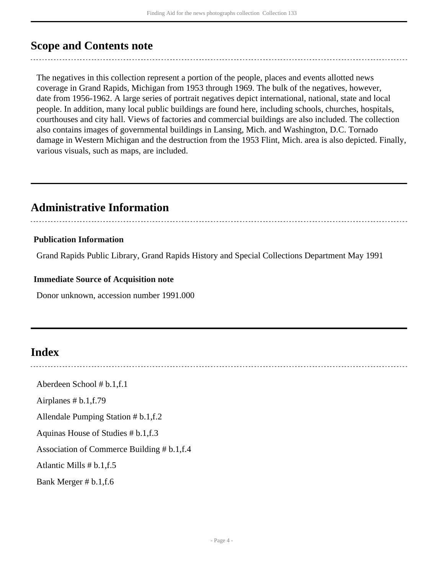### <span id="page-3-0"></span>**Scope and Contents note**

The negatives in this collection represent a portion of the people, places and events allotted news coverage in Grand Rapids, Michigan from 1953 through 1969. The bulk of the negatives, however, date from 1956-1962. A large series of portrait negatives depict international, national, state and local people. In addition, many local public buildings are found here, including schools, churches, hospitals, courthouses and city hall. Views of factories and commercial buildings are also included. The collection also contains images of governmental buildings in Lansing, Mich. and Washington, D.C. Tornado damage in Western Michigan and the destruction from the 1953 Flint, Mich. area is also depicted. Finally, various visuals, such as maps, are included.

### <span id="page-3-1"></span>**Administrative Information**

#### **Publication Information**

Grand Rapids Public Library, Grand Rapids History and Special Collections Department May 1991

#### **Immediate Source of Acquisition note**

Donor unknown, accession number 1991.000

### <span id="page-3-2"></span>**Index**

Aberdeen School # b.1,f.1

Airplanes # b.1,f.79

Allendale Pumping Station # b.1,f.2

Aquinas House of Studies # b.1,f.3

Association of Commerce Building # b.1,f.4

Atlantic Mills # b.1,f.5

Bank Merger # b.1,f.6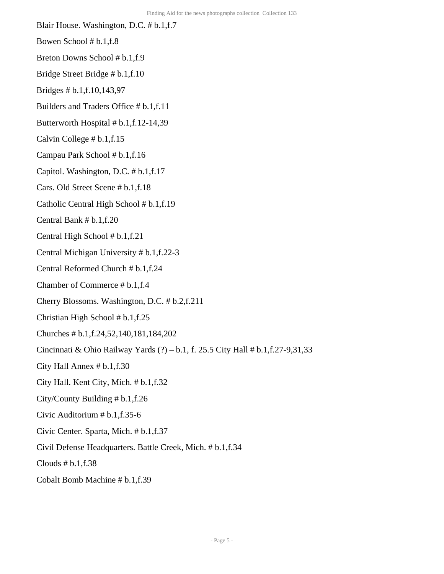- Blair House. Washington, D.C. # b.1,f.7
- Bowen School # b.1,f.8
- Breton Downs School # b.1,f.9
- Bridge Street Bridge # b.1,f.10
- Bridges # b.1,f.10,143,97
- Builders and Traders Office # b.1,f.11
- Butterworth Hospital # b.1,f.12-14,39
- Calvin College # b.1,f.15
- Campau Park School # b.1,f.16
- Capitol. Washington, D.C. # b.1,f.17
- Cars. Old Street Scene # b.1,f.18
- Catholic Central High School # b.1,f.19
- Central Bank # b.1,f.20
- Central High School # b.1,f.21
- Central Michigan University # b.1,f.22-3
- Central Reformed Church # b.1,f.24
- Chamber of Commerce # b.1,f.4
- Cherry Blossoms. Washington, D.C. # b.2,f.211
- Christian High School # b.1,f.25
- Churches # b.1,f.24,52,140,181,184,202
- Cincinnati & Ohio Railway Yards (?) b.1, f. 25.5 City Hall # b.1,f.27-9,31,33
- City Hall Annex # b.1,f.30
- City Hall. Kent City, Mich. # b.1,f.32
- City/County Building # b.1,f.26
- Civic Auditorium # b.1,f.35-6
- Civic Center. Sparta, Mich. # b.1,f.37
- Civil Defense Headquarters. Battle Creek, Mich. # b.1,f.34
- Clouds  $# b.1,f.38$
- Cobalt Bomb Machine # b.1,f.39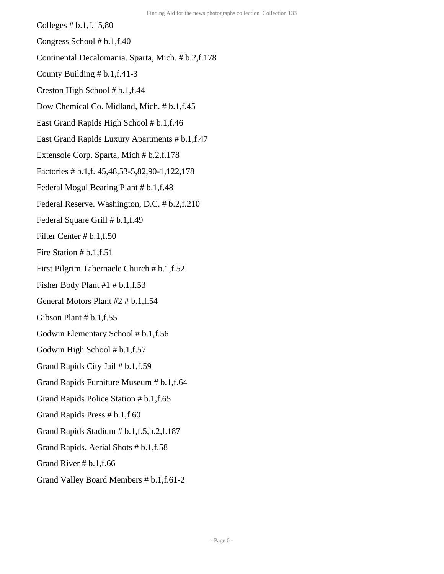Colleges # b.1,f.15,80

Congress School # b.1,f.40

Continental Decalomania. Sparta, Mich. # b.2,f.178

- County Building # b.1,f.41-3
- Creston High School # b.1,f.44
- Dow Chemical Co. Midland, Mich. # b.1,f.45
- East Grand Rapids High School # b.1,f.46
- East Grand Rapids Luxury Apartments # b.1,f.47
- Extensole Corp. Sparta, Mich # b.2,f.178
- Factories # b.1,f. 45,48,53-5,82,90-1,122,178
- Federal Mogul Bearing Plant # b.1,f.48
- Federal Reserve. Washington, D.C. # b.2,f.210
- Federal Square Grill # b.1,f.49
- Filter Center # b.1,f.50
- Fire Station # b.1,f.51
- First Pilgrim Tabernacle Church # b.1,f.52
- Fisher Body Plant #1 # b.1,f.53
- General Motors Plant #2 # b.1,f.54
- Gibson Plant # b.1,f.55
- Godwin Elementary School # b.1,f.56
- Godwin High School # b.1,f.57
- Grand Rapids City Jail # b.1,f.59
- Grand Rapids Furniture Museum # b.1,f.64
- Grand Rapids Police Station # b.1,f.65
- Grand Rapids Press # b.1,f.60
- Grand Rapids Stadium # b.1,f.5,b.2,f.187
- Grand Rapids. Aerial Shots # b.1,f.58
- Grand River # b.1,f.66
- Grand Valley Board Members # b.1,f.61-2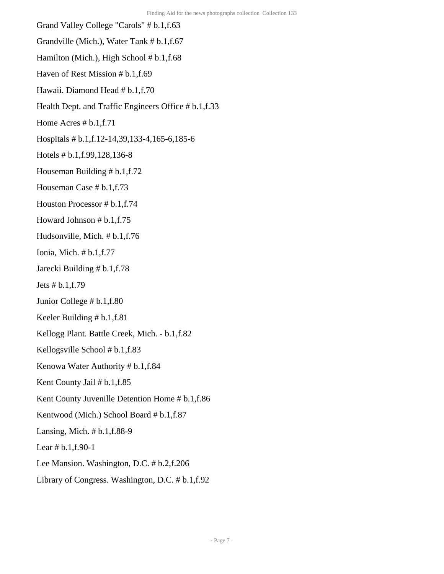Grand Valley College "Carols" # b.1,f.63 Grandville (Mich.), Water Tank # b.1,f.67 Hamilton (Mich.), High School # b.1, f.68 Haven of Rest Mission # b.1,f.69 Hawaii. Diamond Head # b.1,f.70 Health Dept. and Traffic Engineers Office # b.1,f.33 Home Acres # b.1,f.71 Hospitals # b.1,f.12-14,39,133-4,165-6,185-6 Hotels # b.1,f.99,128,136-8 Houseman Building # b.1,f.72 Houseman Case # b.1,f.73 Houston Processor # b.1,f.74 Howard Johnson # b.1,f.75 Hudsonville, Mich. # b.1,f.76 Ionia, Mich. # b.1,f.77 Jarecki Building # b.1,f.78 Jets # b.1,f.79 Junior College # b.1,f.80 Keeler Building # b.1,f.81 Kellogg Plant. Battle Creek, Mich. - b.1,f.82 Kellogsville School # b.1,f.83 Kenowa Water Authority # b.1,f.84 Kent County Jail # b.1,f.85 Kent County Juvenille Detention Home # b.1,f.86 Kentwood (Mich.) School Board # b.1,f.87 Lansing, Mich. # b.1,f.88-9 Lear # b.1,f.90-1 Lee Mansion. Washington, D.C. # b.2,f.206 Library of Congress. Washington, D.C. # b.1,f.92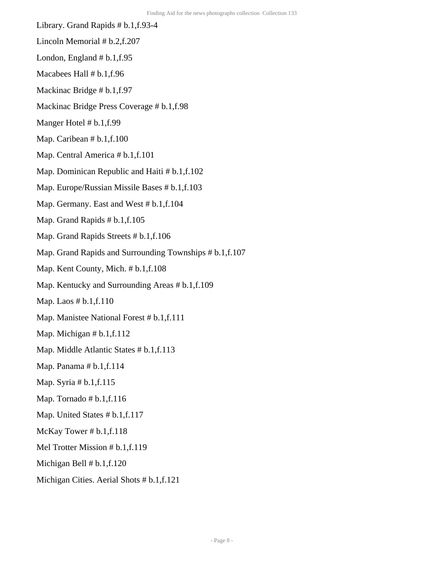- Library. Grand Rapids # b.1,f.93-4
- Lincoln Memorial # b.2,f.207
- London, England  $# b.1,f.95$
- Macabees Hall # b.1,f.96
- Mackinac Bridge # b.1,f.97
- Mackinac Bridge Press Coverage # b.1,f.98
- Manger Hotel # b.1,f.99
- Map. Caribean # b.1, f.100
- Map. Central America # b.1,f.101
- Map. Dominican Republic and Haiti # b.1,f.102
- Map. Europe/Russian Missile Bases # b.1,f.103
- Map. Germany. East and West # b.1,f.104
- Map. Grand Rapids # b.1,f.105
- Map. Grand Rapids Streets # b.1,f.106
- Map. Grand Rapids and Surrounding Townships #  $b.1,f.107$
- Map. Kent County, Mich. # b.1,f.108
- Map. Kentucky and Surrounding Areas #  $b.1,f.109$
- Map. Laos # b.1,f.110
- Map. Manistee National Forest # b.1,f.111
- Map. Michigan # b.1,f.112
- Map. Middle Atlantic States # b.1,f.113
- Map. Panama # b.1,f.114
- Map. Syria # b.1,f.115
- Map. Tornado  $# b.1,f.116$
- Map. United States # b.1,f.117
- McKay Tower # b.1,f.118
- Mel Trotter Mission # b.1,f.119
- Michigan Bell # b.1,f.120
- Michigan Cities. Aerial Shots # b.1,f.121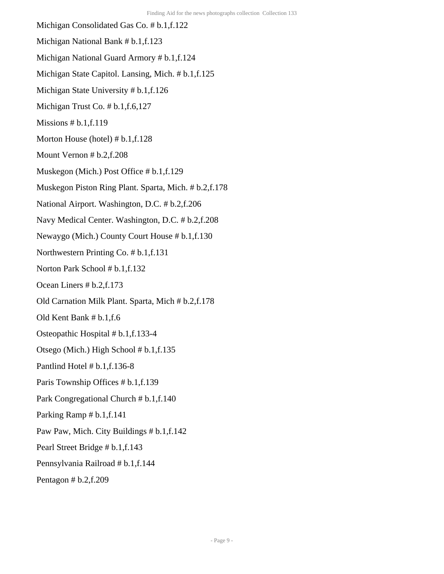Michigan Consolidated Gas Co. # b.1,f.122 Michigan National Bank # b.1,f.123 Michigan National Guard Armory # b.1,f.124 Michigan State Capitol. Lansing, Mich. # b.1,f.125 Michigan State University # b.1,f.126 Michigan Trust Co. # b.1,f.6,127 Missions  $# b.1,f.119$ Morton House (hotel) # b.1,f.128 Mount Vernon # b.2,f.208 Muskegon (Mich.) Post Office # b.1,f.129 Muskegon Piston Ring Plant. Sparta, Mich. # b.2,f.178 National Airport. Washington, D.C. # b.2,f.206 Navy Medical Center. Washington, D.C. # b.2,f.208 Newaygo (Mich.) County Court House # b.1,f.130 Northwestern Printing Co. # b.1,f.131 Norton Park School # b.1,f.132 Ocean Liners # b.2,f.173 Old Carnation Milk Plant. Sparta, Mich # b.2,f.178 Old Kent Bank # b.1,f.6 Osteopathic Hospital # b.1,f.133-4 Otsego (Mich.) High School # b.1,f.135 Pantlind Hotel # b.1,f.136-8 Paris Township Offices # b.1,f.139 Park Congregational Church # b.1,f.140 Parking Ramp # b.1,f.141 Paw Paw, Mich. City Buildings # b.1,f.142 Pearl Street Bridge # b.1,f.143 Pennsylvania Railroad # b.1,f.144 Pentagon # b.2,f.209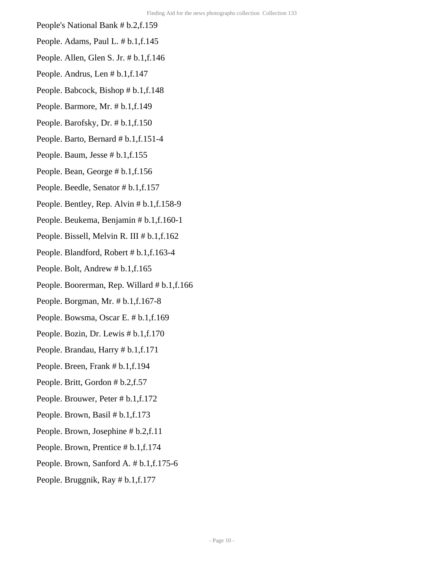- People's National Bank # b.2,f.159
- People. Adams, Paul L. # b.1,f.145
- People. Allen, Glen S. Jr. # b.1,f.146
- People. Andrus, Len # b.1,f.147
- People. Babcock, Bishop # b.1,f.148
- People. Barmore, Mr. # b.1,f.149
- People. Barofsky, Dr. # b.1,f.150
- People. Barto, Bernard # b.1,f.151-4
- People. Baum, Jesse # b.1,f.155
- People. Bean, George # b.1,f.156
- People. Beedle, Senator # b.1,f.157
- People. Bentley, Rep. Alvin # b.1,f.158-9
- People. Beukema, Benjamin # b.1,f.160-1
- People. Bissell, Melvin R. III # b.1,f.162
- People. Blandford, Robert # b.1,f.163-4
- People. Bolt, Andrew # b.1,f.165
- People. Boorerman, Rep. Willard # b.1,f.166
- People. Borgman, Mr. # b.1,f.167-8
- People. Bowsma, Oscar E. # b.1,f.169
- People. Bozin, Dr. Lewis # b.1,f.170
- People. Brandau, Harry # b.1,f.171
- People. Breen, Frank # b.1,f.194
- People. Britt, Gordon # b.2,f.57
- People. Brouwer, Peter # b.1,f.172
- People. Brown, Basil # b.1,f.173
- People. Brown, Josephine # b.2,f.11
- People. Brown, Prentice # b.1,f.174
- People. Brown, Sanford A. # b.1,f.175-6
- People. Bruggnik, Ray # b.1,f.177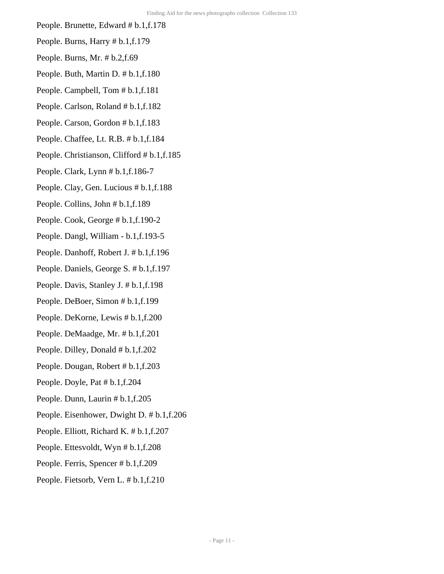- People. Brunette, Edward # b.1,f.178
- People. Burns, Harry # b.1,f.179 People. Burns, Mr. # b.2,f.69
- People. Buth, Martin D. # b.1,f.180
- People. Campbell, Tom # b.1,f.181
- People. Carlson, Roland # b.1,f.182
- People. Carson, Gordon # b.1,f.183
- People. Chaffee, Lt. R.B. # b.1,f.184
- People. Christianson, Clifford # b.1,f.185
- People. Clark, Lynn # b.1,f.186-7
- People. Clay, Gen. Lucious # b.1,f.188
- People. Collins, John # b.1,f.189
- People. Cook, George # b.1,f.190-2
- People. Dangl, William b.1,f.193-5
- People. Danhoff, Robert J. # b.1,f.196
- People. Daniels, George S. # b.1,f.197
- People. Davis, Stanley J. # b.1,f.198
- People. DeBoer, Simon # b.1,f.199
- People. DeKorne, Lewis # b.1,f.200
- People. DeMaadge, Mr. # b.1,f.201
- People. Dilley, Donald # b.1,f.202
- People. Dougan, Robert # b.1,f.203
- People. Doyle, Pat # b.1,f.204
- People. Dunn, Laurin # b.1,f.205
- People. Eisenhower, Dwight D. # b.1,f.206
- People. Elliott, Richard K. # b.1,f.207
- People. Ettesvoldt, Wyn # b.1,f.208
- People. Ferris, Spencer # b.1,f.209
- People. Fietsorb, Vern L. # b.1,f.210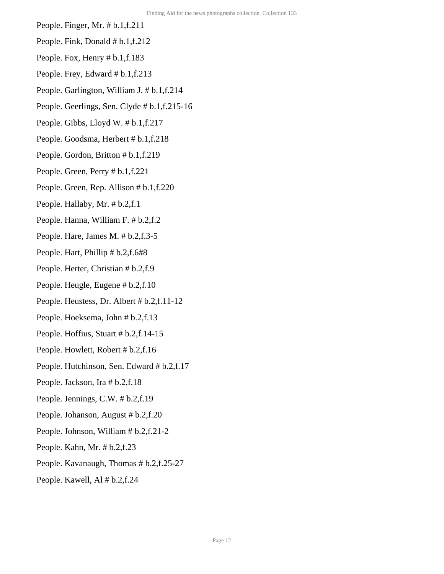- People. Finger, Mr. # b.1,f.211
- People. Fink, Donald # b.1,f.212
- People. Fox, Henry # b.1,f.183
- People. Frey, Edward # b.1,f.213
- People. Garlington, William J. # b.1,f.214
- People. Geerlings, Sen. Clyde # b.1,f.215-16
- People. Gibbs, Lloyd W. # b.1,f.217
- People. Goodsma, Herbert # b.1,f.218
- People. Gordon, Britton # b.1,f.219
- People. Green, Perry # b.1,f.221
- People. Green, Rep. Allison # b.1,f.220
- People. Hallaby, Mr. # b.2,f.1
- People. Hanna, William F. # b.2,f.2
- People. Hare, James M. # b.2,f.3-5
- People. Hart, Phillip # b.2,f.6#8
- People. Herter, Christian # b.2,f.9
- People. Heugle, Eugene # b.2,f.10
- People. Heustess, Dr. Albert # b.2,f.11-12
- People. Hoeksema, John # b.2,f.13
- People. Hoffius, Stuart # b.2,f.14-15
- People. Howlett, Robert # b.2,f.16
- People. Hutchinson, Sen. Edward # b.2,f.17
- People. Jackson, Ira # b.2,f.18
- People. Jennings, C.W. # b.2,f.19
- People. Johanson, August # b.2,f.20
- People. Johnson, William # b.2,f.21-2
- People. Kahn, Mr. # b.2,f.23
- People. Kavanaugh, Thomas # b.2,f.25-27
- People. Kawell, Al # b.2,f.24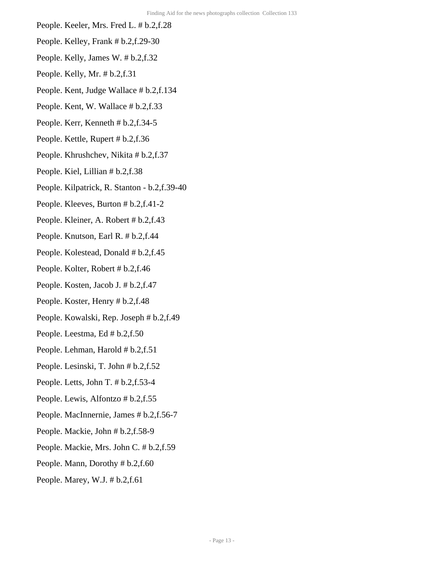- People. Keeler, Mrs. Fred L. # b.2,f.28
- People. Kelley, Frank # b.2,f.29-30
- People. Kelly, James W. # b.2,f.32
- People. Kelly, Mr. # b.2,f.31
- People. Kent, Judge Wallace # b.2,f.134
- People. Kent, W. Wallace # b.2,f.33
- People. Kerr, Kenneth # b.2,f.34-5
- People. Kettle, Rupert # b.2,f.36
- People. Khrushchev, Nikita # b.2,f.37
- People. Kiel, Lillian # b.2,f.38
- People. Kilpatrick, R. Stanton b.2,f.39-40
- People. Kleeves, Burton # b.2,f.41-2
- People. Kleiner, A. Robert # b.2,f.43
- People. Knutson, Earl R. # b.2,f.44
- People. Kolestead, Donald # b.2,f.45
- People. Kolter, Robert # b.2,f.46
- People. Kosten, Jacob J. # b.2,f.47
- People. Koster, Henry # b.2,f.48
- People. Kowalski, Rep. Joseph # b.2,f.49
- People. Leestma, Ed # b.2,f.50
- People. Lehman, Harold # b.2,f.51
- People. Lesinski, T. John # b.2,f.52
- People. Letts, John T. # b.2,f.53-4
- People. Lewis, Alfontzo # b.2,f.55
- People. MacInnernie, James # b.2,f.56-7
- People. Mackie, John # b.2,f.58-9
- People. Mackie, Mrs. John C. # b.2,f.59
- People. Mann, Dorothy # b.2,f.60
- People. Marey, W.J. # b.2,f.61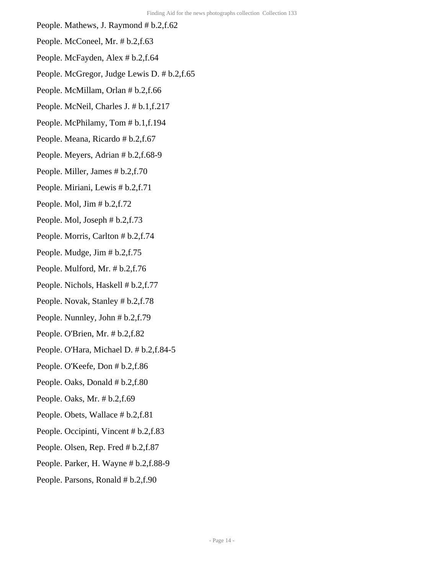- People. Mathews, J. Raymond # b.2,f.62
- People. McConeel, Mr. # b.2,f.63
- People. McFayden, Alex # b.2,f.64
- People. McGregor, Judge Lewis D. # b.2,f.65
- People. McMillam, Orlan # b.2,f.66
- People. McNeil, Charles J. # b.1,f.217
- People. McPhilamy, Tom # b.1,f.194
- People. Meana, Ricardo # b.2,f.67
- People. Meyers, Adrian # b.2,f.68-9
- People. Miller, James # b.2,f.70
- People. Miriani, Lewis # b.2,f.71
- People. Mol,  $\text{Jim} \# \text{b.2}, \text{f.72}$
- People. Mol, Joseph # b.2,f.73
- People. Morris, Carlton # b.2,f.74
- People. Mudge, Jim # b.2,f.75
- People. Mulford, Mr. # b.2,f.76
- People. Nichols, Haskell # b.2,f.77
- People. Novak, Stanley # b.2,f.78
- People. Nunnley, John # b.2,f.79
- People. O'Brien, Mr. # b.2,f.82
- People. O'Hara, Michael D. # b.2,f.84-5
- People. O'Keefe, Don # b.2,f.86
- People. Oaks, Donald # b.2,f.80
- People. Oaks, Mr. # b.2,f.69
- People. Obets, Wallace # b.2,f.81
- People. Occipinti, Vincent # b.2,f.83
- People. Olsen, Rep. Fred # b.2,f.87
- People. Parker, H. Wayne # b.2,f.88-9
- People. Parsons, Ronald # b.2,f.90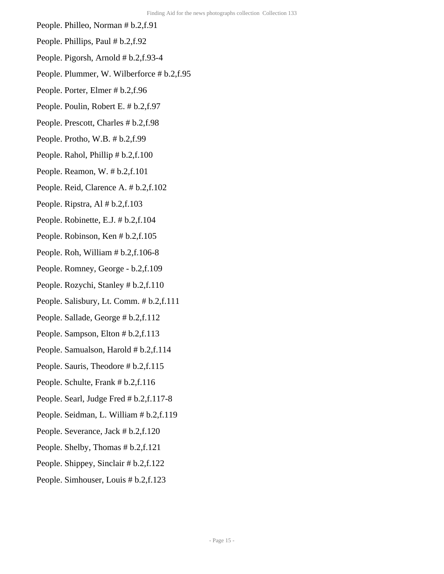- People. Philleo, Norman # b.2,f.91
- People. Phillips, Paul # b.2,f.92
- People. Pigorsh, Arnold # b.2,f.93-4
- People. Plummer, W. Wilberforce # b.2,f.95
- People. Porter, Elmer # b.2,f.96
- People. Poulin, Robert E. # b.2,f.97
- People. Prescott, Charles # b.2,f.98
- People. Protho, W.B. # b.2,f.99
- People. Rahol, Phillip # b.2,f.100
- People. Reamon, W. # b.2,f.101
- People. Reid, Clarence A. # b.2,f.102
- People. Ripstra, Al # b.2,f.103
- People. Robinette, E.J. # b.2,f.104
- People. Robinson, Ken # b.2,f.105
- People. Roh, William # b.2,f.106-8
- People. Romney, George b.2,f.109
- People. Rozychi, Stanley # b.2,f.110
- People. Salisbury, Lt. Comm. # b.2,f.111
- People. Sallade, George # b.2,f.112
- People. Sampson, Elton # b.2,f.113
- People. Samualson, Harold # b.2,f.114
- People. Sauris, Theodore # b.2, f.115
- People. Schulte, Frank # b.2,f.116
- People. Searl, Judge Fred # b.2,f.117-8
- People. Seidman, L. William # b.2,f.119
- People. Severance, Jack # b.2,f.120
- People. Shelby, Thomas # b.2,f.121
- People. Shippey, Sinclair # b.2,f.122
- People. Simhouser, Louis # b.2,f.123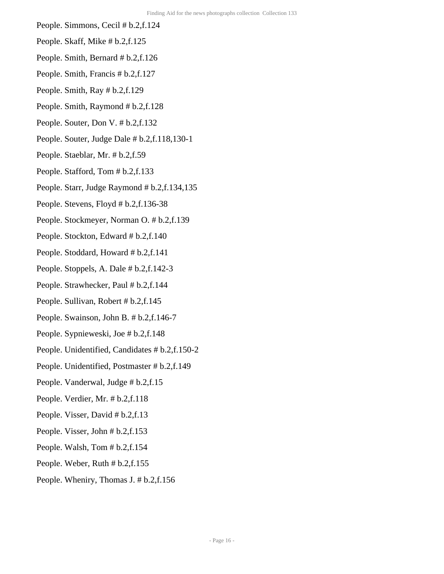- People. Simmons, Cecil # b.2,f.124
- People. Skaff, Mike # b.2,f.125
- People. Smith, Bernard # b.2,f.126
- People. Smith, Francis # b.2,f.127
- People. Smith, Ray # b.2,f.129
- People. Smith, Raymond # b.2,f.128
- People. Souter, Don V. # b.2,f.132
- People. Souter, Judge Dale # b.2,f.118,130-1
- People. Staeblar, Mr. # b.2,f.59
- People. Stafford, Tom # b.2,f.133
- People. Starr, Judge Raymond # b.2,f.134,135
- People. Stevens, Floyd # b.2,f.136-38
- People. Stockmeyer, Norman O. # b.2,f.139
- People. Stockton, Edward # b.2,f.140
- People. Stoddard, Howard # b.2,f.141
- People. Stoppels, A. Dale # b.2,f.142-3
- People. Strawhecker, Paul # b.2,f.144
- People. Sullivan, Robert # b.2,f.145
- People. Swainson, John B. # b.2,f.146-7
- People. Sypnieweski, Joe # b.2,f.148
- People. Unidentified, Candidates # b.2,f.150-2
- People. Unidentified, Postmaster # b.2,f.149
- People. Vanderwal, Judge # b.2,f.15
- People. Verdier, Mr. # b.2,f.118
- People. Visser, David # b.2,f.13
- People. Visser, John # b.2,f.153
- People. Walsh, Tom # b.2,f.154
- People. Weber, Ruth # b.2,f.155
- People. Wheniry, Thomas J. # b.2,f.156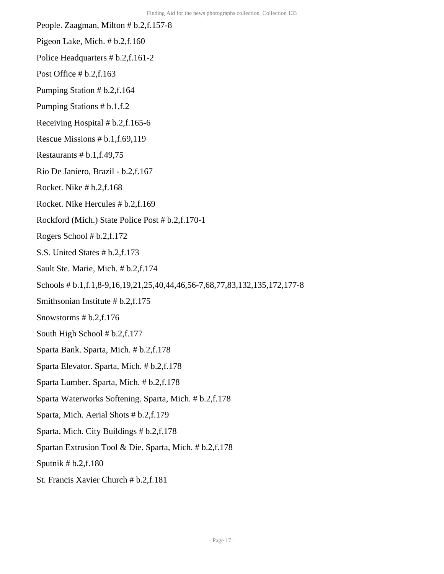- People. Zaagman, Milton # b.2,f.157-8
- Pigeon Lake, Mich. # b.2,f.160
- Police Headquarters # b.2,f.161-2
- Post Office # b.2,f.163
- Pumping Station # b.2,f.164
- Pumping Stations # b.1,f.2
- Receiving Hospital # b.2,f.165-6
- Rescue Missions # b.1,f.69,119
- Restaurants  $# b.1,f.49,75$
- Rio De Janiero, Brazil b.2,f.167
- Rocket. Nike # b.2,f.168
- Rocket. Nike Hercules # b.2,f.169
- Rockford (Mich.) State Police Post # b.2,f.170-1
- Rogers School # b.2,f.172
- S.S. United States # b.2,f.173
- Sault Ste. Marie, Mich. # b.2,f.174
- Schools # b.1,f.1,8-9,16,19,21,25,40,44,46,56-7,68,77,83,132,135,172,177-8
- Smithsonian Institute # b.2,f.175
- Snowstorms # b.2,f.176
- South High School # b.2,f.177
- Sparta Bank. Sparta, Mich. # b.2,f.178
- Sparta Elevator. Sparta, Mich. # b.2,f.178
- Sparta Lumber. Sparta, Mich. # b.2,f.178
- Sparta Waterworks Softening. Sparta, Mich. # b.2,f.178
- Sparta, Mich. Aerial Shots # b.2,f.179
- Sparta, Mich. City Buildings # b.2,f.178
- Spartan Extrusion Tool & Die. Sparta, Mich. # b.2,f.178
- Sputnik # b.2,f.180
- St. Francis Xavier Church # b.2,f.181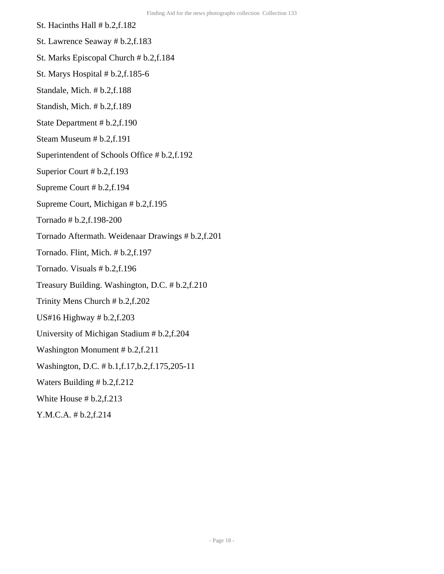- St. Hacinths Hall # b.2,f.182
- St. Lawrence Seaway # b.2,f.183
- St. Marks Episcopal Church # b.2,f.184
- St. Marys Hospital # b.2,f.185-6
- Standale, Mich. # b.2,f.188
- Standish, Mich. # b.2,f.189
- State Department # b.2,f.190
- Steam Museum # b.2,f.191
- Superintendent of Schools Office # b.2,f.192
- Superior Court # b.2,f.193
- Supreme Court # b.2,f.194
- Supreme Court, Michigan # b.2,f.195
- Tornado # b.2,f.198-200
- Tornado Aftermath. Weidenaar Drawings # b.2,f.201
- Tornado. Flint, Mich. # b.2,f.197
- Tornado. Visuals # b.2,f.196
- Treasury Building. Washington, D.C. # b.2,f.210
- Trinity Mens Church # b.2,f.202
- US#16 Highway # b.2,f.203
- University of Michigan Stadium # b.2,f.204
- Washington Monument # b.2,f.211
- Washington, D.C. # b.1,f.17,b.2,f.175,205-11
- Waters Building # b.2,f.212
- White House # b.2,f.213
- Y.M.C.A. # b.2,f.214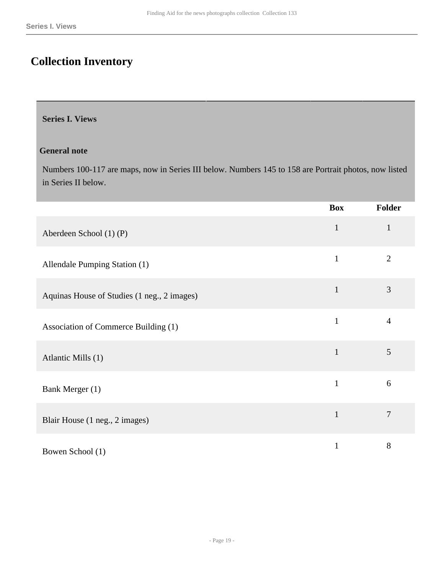### <span id="page-18-0"></span>**Collection Inventory**

#### <span id="page-18-1"></span>**Series I. Views**

#### **General note**

Numbers 100-117 are maps, now in Series III below. Numbers 145 to 158 are Portrait photos, now listed in Series II below.

|                                             | <b>Box</b>   | <b>Folder</b>  |
|---------------------------------------------|--------------|----------------|
| Aberdeen School (1) (P)                     | $\mathbf{1}$ | $\mathbf{1}$   |
| Allendale Pumping Station (1)               | $\mathbf{1}$ | $\overline{2}$ |
| Aquinas House of Studies (1 neg., 2 images) | $\mathbf{1}$ | 3              |
| Association of Commerce Building (1)        | $\mathbf{1}$ | $\overline{4}$ |
| Atlantic Mills (1)                          | $\mathbf{1}$ | 5              |
| Bank Merger (1)                             | $\mathbf{1}$ | 6              |
| Blair House (1 neg., 2 images)              | $\mathbf{1}$ | $\overline{7}$ |
| Bowen School (1)                            | $\mathbf{1}$ | 8              |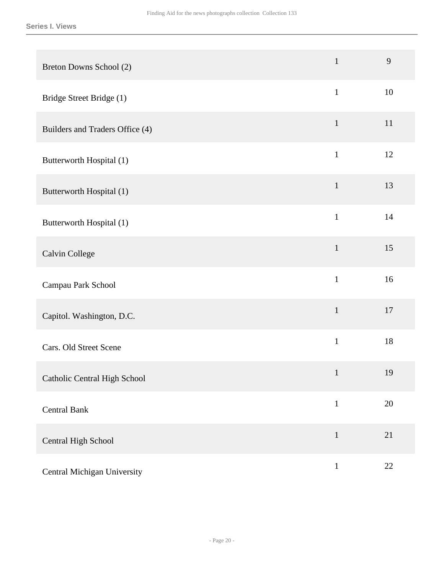| Breton Downs School (2)         | $\mathbf{1}$ | 9      |
|---------------------------------|--------------|--------|
| Bridge Street Bridge (1)        | $\mathbf{1}$ | 10     |
| Builders and Traders Office (4) | $\mathbf{1}$ | 11     |
| Butterworth Hospital (1)        | $\mathbf{1}$ | 12     |
| Butterworth Hospital (1)        | $\mathbf{1}$ | 13     |
| Butterworth Hospital (1)        | $\mathbf{1}$ | 14     |
| Calvin College                  | $\mathbf 1$  | 15     |
| Campau Park School              | $\mathbf{1}$ | 16     |
| Capitol. Washington, D.C.       | $\mathbf{1}$ | 17     |
| Cars. Old Street Scene          | $\mathbf{1}$ | 18     |
| Catholic Central High School    | $\mathbf{1}$ | 19     |
| <b>Central Bank</b>             | $\,1$        | $20\,$ |
| Central High School             | $\mathbf 1$  | 21     |
| Central Michigan University     | $\mathbf{1}$ | $22\,$ |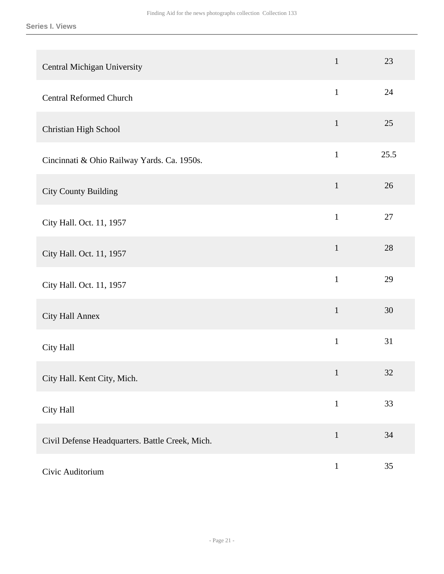| Central Michigan University                     | $\mathbf{1}$ | 23   |
|-------------------------------------------------|--------------|------|
| <b>Central Reformed Church</b>                  | $\mathbf{1}$ | 24   |
| Christian High School                           | $\mathbf{1}$ | 25   |
| Cincinnati & Ohio Railway Yards. Ca. 1950s.     | $\mathbf{1}$ | 25.5 |
| <b>City County Building</b>                     | $\mathbf{1}$ | 26   |
| City Hall. Oct. 11, 1957                        | $\mathbf{1}$ | 27   |
| City Hall. Oct. 11, 1957                        | $\mathbf{1}$ | 28   |
| City Hall. Oct. 11, 1957                        | $\mathbf{1}$ | 29   |
| City Hall Annex                                 | $\mathbf{1}$ | 30   |
| City Hall                                       | $\mathbf{1}$ | 31   |
| City Hall. Kent City, Mich.                     | $\mathbf{1}$ | 32   |
| City Hall                                       | $\mathbf{1}$ | 33   |
| Civil Defense Headquarters. Battle Creek, Mich. | $\mathbf{1}$ | 34   |
| Civic Auditorium                                | $\mathbf{1}$ | 35   |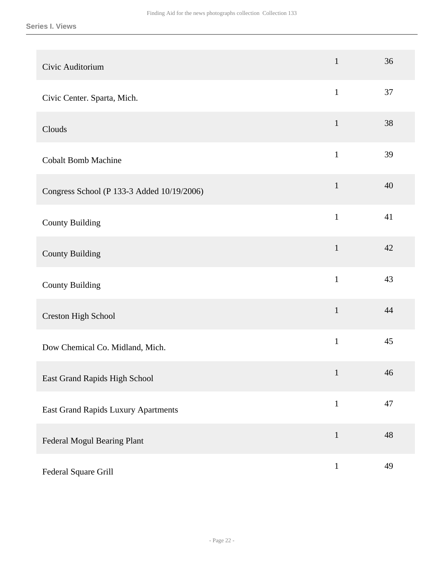| Civic Auditorium                           | $\mathbf{1}$ | 36 |
|--------------------------------------------|--------------|----|
| Civic Center. Sparta, Mich.                | $\mathbf{1}$ | 37 |
| Clouds                                     | $\mathbf{1}$ | 38 |
| <b>Cobalt Bomb Machine</b>                 | $\mathbf{1}$ | 39 |
| Congress School (P 133-3 Added 10/19/2006) | $\mathbf{1}$ | 40 |
| <b>County Building</b>                     | $\mathbf{1}$ | 41 |
| <b>County Building</b>                     | $\mathbf{1}$ | 42 |
| <b>County Building</b>                     | $\mathbf{1}$ | 43 |
| Creston High School                        | $\mathbf{1}$ | 44 |
| Dow Chemical Co. Midland, Mich.            | $\mathbf{1}$ | 45 |
| East Grand Rapids High School              | $\mathbf{1}$ | 46 |
| East Grand Rapids Luxury Apartments        | $\mathbf{1}$ | 47 |
| Federal Mogul Bearing Plant                | $\mathbf{1}$ | 48 |
| Federal Square Grill                       | $\mathbf{1}$ | 49 |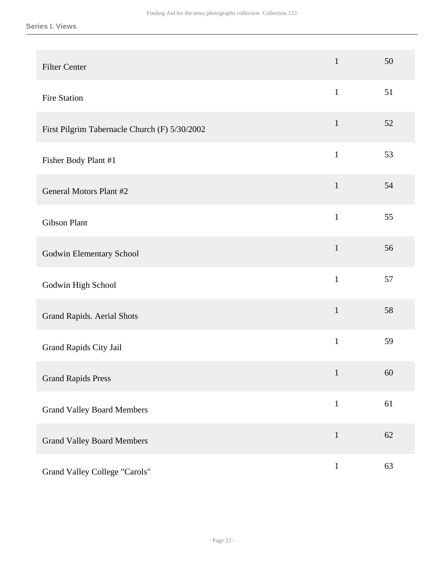| <b>Filter Center</b>                          | $\mathbf{1}$ | 50 |
|-----------------------------------------------|--------------|----|
| Fire Station                                  | $\mathbf{1}$ | 51 |
| First Pilgrim Tabernacle Church (F) 5/30/2002 | $\mathbf{1}$ | 52 |
| Fisher Body Plant #1                          | $\mathbf{1}$ | 53 |
| <b>General Motors Plant #2</b>                | $\mathbf{1}$ | 54 |
| <b>Gibson Plant</b>                           | $\mathbf{1}$ | 55 |
| Godwin Elementary School                      | $\mathbf{1}$ | 56 |
| Godwin High School                            | $\mathbf{1}$ | 57 |
| Grand Rapids. Aerial Shots                    | $\mathbf{1}$ | 58 |
| Grand Rapids City Jail                        | $\mathbf{1}$ | 59 |
| <b>Grand Rapids Press</b>                     | $\mathbf{1}$ | 60 |
| <b>Grand Valley Board Members</b>             | $\mathbf{1}$ | 61 |
| <b>Grand Valley Board Members</b>             | $\mathbf{1}$ | 62 |
| Grand Valley College "Carols"                 | $\mathbf{1}$ | 63 |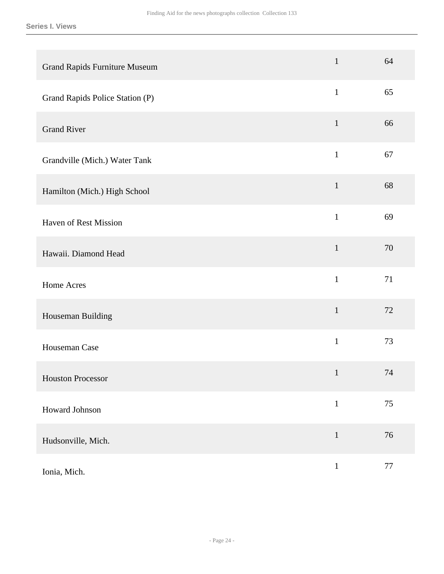| <b>Grand Rapids Furniture Museum</b> | $\mathbf{1}$ | 64     |
|--------------------------------------|--------------|--------|
| Grand Rapids Police Station (P)      | $\mathbf{1}$ | 65     |
| <b>Grand River</b>                   | $\mathbf{1}$ | 66     |
| Grandville (Mich.) Water Tank        | $\mathbf{1}$ | 67     |
| Hamilton (Mich.) High School         | $\mathbf{1}$ | 68     |
| <b>Haven of Rest Mission</b>         | $\mathbf{1}$ | 69     |
| Hawaii. Diamond Head                 | $\mathbf 1$  | 70     |
| Home Acres                           | $\mathbf{1}$ | 71     |
| Houseman Building                    | $\mathbf{1}$ | 72     |
| Houseman Case                        | $\mathbf{1}$ | 73     |
| <b>Houston Processor</b>             | $\mathbf{1}$ | 74     |
| Howard Johnson                       | $\mathbf 1$  | 75     |
| Hudsonville, Mich.                   | $\mathbf 1$  | 76     |
| Ionia, Mich.                         | $\mathbf{1}$ | $77\,$ |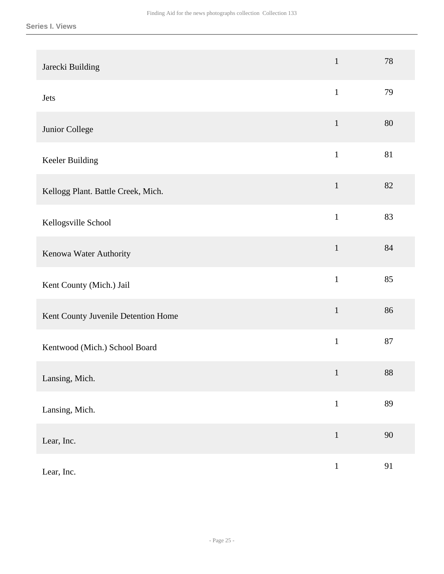|                                     | $\mathbf{1}$ | 78     |
|-------------------------------------|--------------|--------|
| Jarecki Building                    |              |        |
| Jets                                | $\mathbf{1}$ | 79     |
| Junior College                      | $\mathbf{1}$ | 80     |
| Keeler Building                     | $\mathbf{1}$ | 81     |
| Kellogg Plant. Battle Creek, Mich.  | $\mathbf{1}$ | 82     |
| Kellogsville School                 | $\mathbf{1}$ | 83     |
| Kenowa Water Authority              | $\mathbf{1}$ | 84     |
| Kent County (Mich.) Jail            | $\mathbf{1}$ | 85     |
| Kent County Juvenile Detention Home | $\mathbf 1$  | 86     |
| Kentwood (Mich.) School Board       | $\mathbf 1$  | 87     |
| Lansing, Mich.                      | $\mathbf{1}$ | $88\,$ |
| Lansing, Mich.                      | $\mathbf 1$  | 89     |
| Lear, Inc.                          | $1\,$        | 90     |
| Lear, Inc.                          | $\mathbf 1$  | 91     |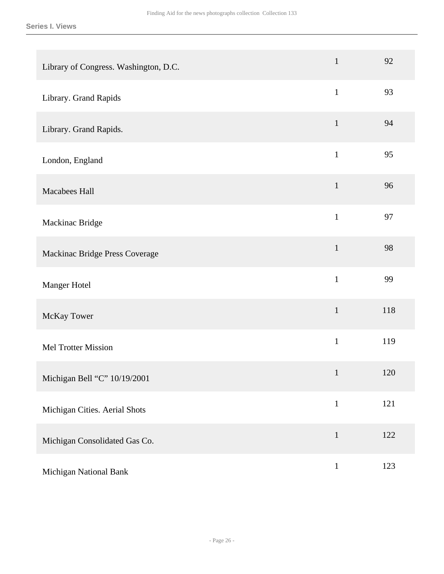| Library of Congress. Washington, D.C. | $\mathbf{1}$ | 92  |
|---------------------------------------|--------------|-----|
| Library. Grand Rapids                 | $\mathbf{1}$ | 93  |
| Library. Grand Rapids.                | $\mathbf{1}$ | 94  |
| London, England                       | $\mathbf{1}$ | 95  |
| Macabees Hall                         | $\mathbf{1}$ | 96  |
| Mackinac Bridge                       | $\mathbf{1}$ | 97  |
| Mackinac Bridge Press Coverage        | $\mathbf{1}$ | 98  |
| Manger Hotel                          | $\mathbf{1}$ | 99  |
| McKay Tower                           | $\mathbf{1}$ | 118 |
| Mel Trotter Mission                   | $\mathbf{1}$ | 119 |
| Michigan Bell "C" 10/19/2001          | $\mathbf{1}$ | 120 |
| Michigan Cities. Aerial Shots         | $\,1\,$      | 121 |
| Michigan Consolidated Gas Co.         | $\mathbf{1}$ | 122 |
| Michigan National Bank                | $\,1$        | 123 |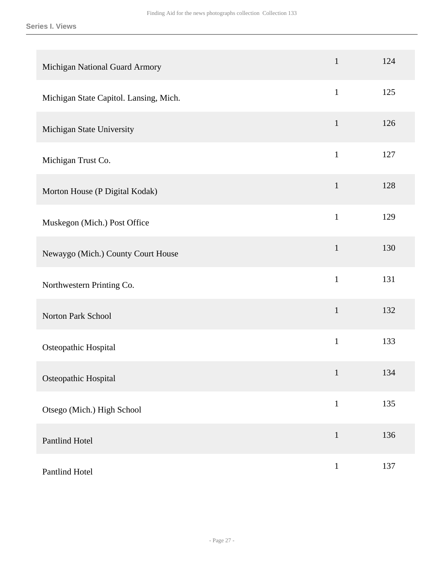| Michigan National Guard Armory         | $\mathbf{1}$ | 124 |
|----------------------------------------|--------------|-----|
| Michigan State Capitol. Lansing, Mich. | $\mathbf{1}$ | 125 |
| Michigan State University              | $\mathbf{1}$ | 126 |
| Michigan Trust Co.                     | $\mathbf{1}$ | 127 |
| Morton House (P Digital Kodak)         | $\mathbf{1}$ | 128 |
| Muskegon (Mich.) Post Office           | $\mathbf{1}$ | 129 |
| Newaygo (Mich.) County Court House     | $\mathbf{1}$ | 130 |
| Northwestern Printing Co.              | $\mathbf{1}$ | 131 |
| Norton Park School                     | $\mathbf{1}$ | 132 |
| Osteopathic Hospital                   | $\mathbf{1}$ | 133 |
| Osteopathic Hospital                   | $\mathbf{1}$ | 134 |
| Otsego (Mich.) High School             | $\mathbf{1}$ | 135 |
| Pantlind Hotel                         | $\mathbf{1}$ | 136 |
| Pantlind Hotel                         | $\mathbf{1}$ | 137 |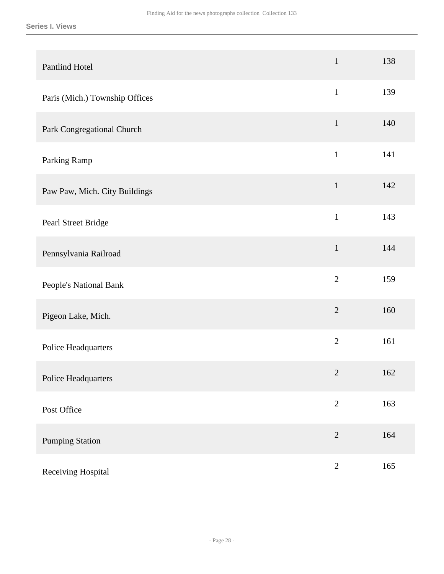| <b>Pantlind Hotel</b>          | $\mathbf{1}$   | 138 |
|--------------------------------|----------------|-----|
| Paris (Mich.) Township Offices | $\mathbf{1}$   | 139 |
| Park Congregational Church     | $\mathbf{1}$   | 140 |
| Parking Ramp                   | $\mathbf{1}$   | 141 |
| Paw Paw, Mich. City Buildings  | $\mathbf{1}$   | 142 |
| Pearl Street Bridge            | $\mathbf{1}$   | 143 |
| Pennsylvania Railroad          | $\mathbf{1}$   | 144 |
| People's National Bank         | $\overline{2}$ | 159 |
| Pigeon Lake, Mich.             | $\overline{2}$ | 160 |
| Police Headquarters            | $\overline{2}$ | 161 |
| Police Headquarters            | $\sqrt{2}$     | 162 |
| Post Office                    | $\overline{2}$ | 163 |
| <b>Pumping Station</b>         | $\overline{2}$ | 164 |
| Receiving Hospital             | $\sqrt{2}$     | 165 |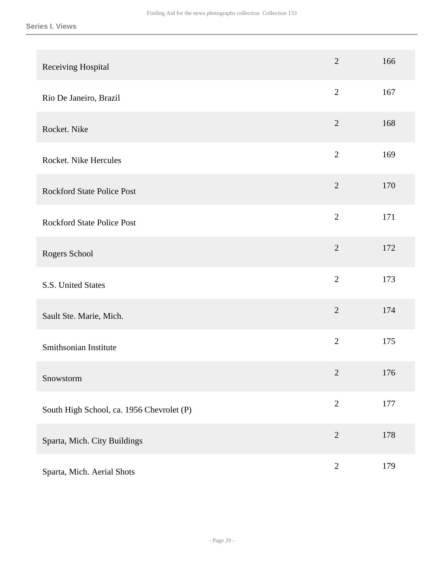| Receiving Hospital                        | $\overline{2}$ | 166 |
|-------------------------------------------|----------------|-----|
| Rio De Janeiro, Brazil                    | $\mathbf{2}$   | 167 |
| Rocket. Nike                              | $\overline{2}$ | 168 |
| Rocket. Nike Hercules                     | $\overline{2}$ | 169 |
| <b>Rockford State Police Post</b>         | $\overline{2}$ | 170 |
| <b>Rockford State Police Post</b>         | $\overline{2}$ | 171 |
| Rogers School                             | $\overline{2}$ | 172 |
| S.S. United States                        | $\overline{2}$ | 173 |
| Sault Ste. Marie, Mich.                   | $\overline{2}$ | 174 |
| Smithsonian Institute                     | $\overline{2}$ | 175 |
| Snowstorm                                 | $\overline{2}$ | 176 |
| South High School, ca. 1956 Chevrolet (P) | $\overline{2}$ | 177 |
| Sparta, Mich. City Buildings              | $\overline{2}$ | 178 |
| Sparta, Mich. Aerial Shots                | $\sqrt{2}$     | 179 |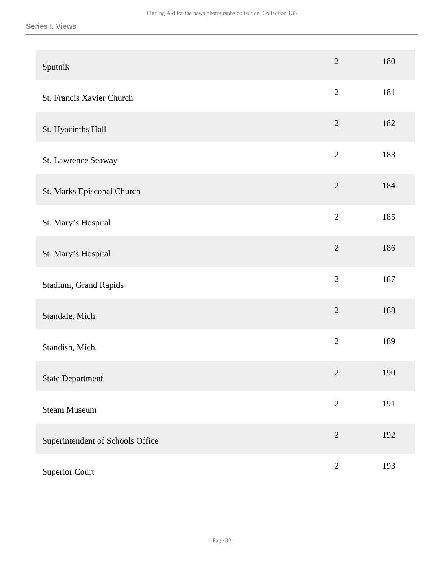| Sputnik                          | $\overline{2}$ | 180 |
|----------------------------------|----------------|-----|
| St. Francis Xavier Church        | $\overline{2}$ | 181 |
| St. Hyacinths Hall               | $\overline{2}$ | 182 |
| St. Lawrence Seaway              | $\overline{2}$ | 183 |
| St. Marks Episcopal Church       | $\overline{2}$ | 184 |
| St. Mary's Hospital              | $\overline{2}$ | 185 |
| St. Mary's Hospital              | $\overline{2}$ | 186 |
| Stadium, Grand Rapids            | $\overline{2}$ | 187 |
| Standale, Mich.                  | $\overline{2}$ | 188 |
| Standish, Mich.                  | $\overline{2}$ | 189 |
| <b>State Department</b>          | $\mathbf{2}$   | 190 |
| <b>Steam Museum</b>              | $\overline{2}$ | 191 |
| Superintendent of Schools Office | $\overline{2}$ | 192 |
| <b>Superior Court</b>            | $\sqrt{2}$     | 193 |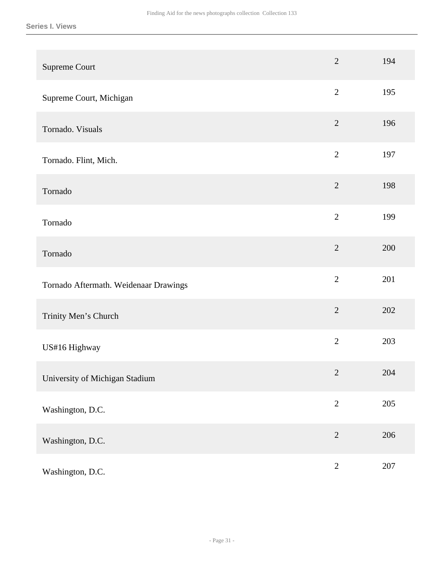| Supreme Court                         | $\overline{2}$ | 194     |
|---------------------------------------|----------------|---------|
| Supreme Court, Michigan               | $\overline{2}$ | 195     |
| Tornado. Visuals                      | $\overline{2}$ | 196     |
| Tornado. Flint, Mich.                 | $\overline{2}$ | 197     |
| Tornado                               | $\overline{2}$ | 198     |
| Tornado                               | $\overline{2}$ | 199     |
| Tornado                               | $\overline{2}$ | 200     |
| Tornado Aftermath. Weidenaar Drawings | $\overline{2}$ | 201     |
| Trinity Men's Church                  | $\overline{2}$ | 202     |
| US#16 Highway                         | $\overline{2}$ | 203     |
| University of Michigan Stadium        | $\sqrt{2}$     | 204     |
| Washington, D.C.                      | $\overline{2}$ | 205     |
| Washington, D.C.                      | $\overline{2}$ | 206     |
| Washington, D.C.                      | $\sqrt{2}$     | $207\,$ |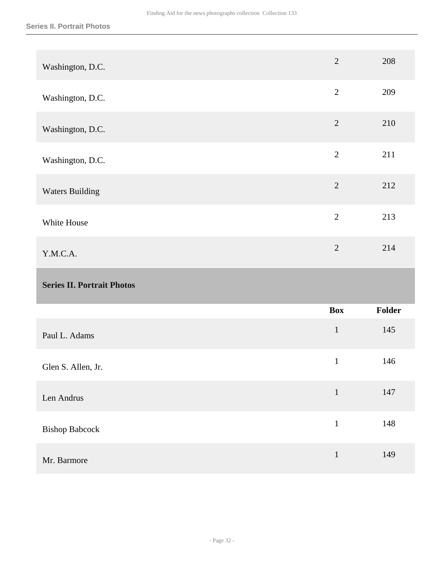<span id="page-31-0"></span>

| Washington, D.C.                  | $\overline{2}$ | 208    |
|-----------------------------------|----------------|--------|
| Washington, D.C.                  | $\overline{2}$ | 209    |
| Washington, D.C.                  | $\overline{2}$ | 210    |
| Washington, D.C.                  | $\overline{2}$ | 211    |
| <b>Waters Building</b>            | $\overline{2}$ | 212    |
| White House                       | $\overline{2}$ | 213    |
|                                   | $\overline{2}$ | 214    |
| Y.M.C.A.                          |                |        |
| <b>Series II. Portrait Photos</b> |                |        |
|                                   | <b>Box</b>     | Folder |
| Paul L. Adams                     | $\mathbf{1}$   | 145    |
| Glen S. Allen, Jr.                | $\mathbf{1}$   | 146    |
| Len Andrus                        | $\mathbf 1$    | 147    |
| <b>Bishop Babcock</b>             | $\mathbf 1$    | 148    |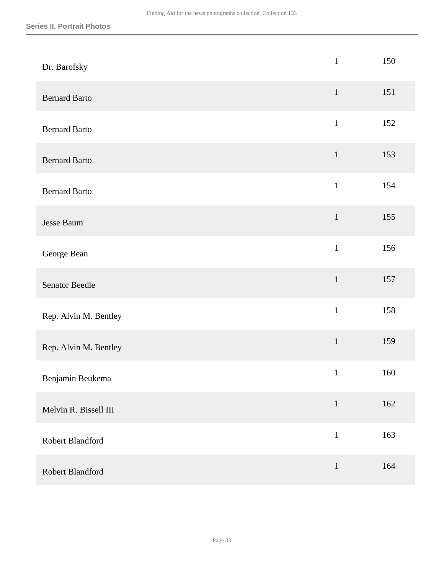| Dr. Barofsky          | $\mathbf{1}$ | 150 |
|-----------------------|--------------|-----|
| <b>Bernard Barto</b>  | $1\,$        | 151 |
| <b>Bernard Barto</b>  | $\mathbf{1}$ | 152 |
| <b>Bernard Barto</b>  | $\mathbf{1}$ | 153 |
| <b>Bernard Barto</b>  | $\mathbf{1}$ | 154 |
| Jesse Baum            | $\mathbf 1$  | 155 |
| George Bean           | $\mathbf{1}$ | 156 |
| <b>Senator Beedle</b> | $\mathbf{1}$ | 157 |
| Rep. Alvin M. Bentley | $\mathbf{1}$ | 158 |
| Rep. Alvin M. Bentley | $\,1\,$      | 159 |
| Benjamin Beukema      | $\mathbf{1}$ | 160 |
| Melvin R. Bissell III | $1\,$        | 162 |
| Robert Blandford      | $\mathbf{1}$ | 163 |
| Robert Blandford      | $\mathbf 1$  | 164 |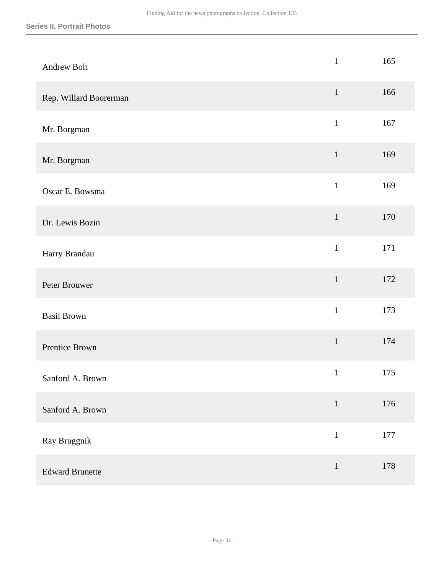| Andrew Bolt            | $\mathbf{1}$ | 165     |
|------------------------|--------------|---------|
| Rep. Willard Boorerman | $\mathbf{1}$ | 166     |
| Mr. Borgman            | $\,1\,$      | 167     |
| Mr. Borgman            | $\mathbf{1}$ | 169     |
| Oscar E. Bowsma        | $\mathbf{1}$ | 169     |
| Dr. Lewis Bozin        | $\mathbf 1$  | 170     |
| Harry Brandau          | $\mathbf{1}$ | 171     |
| Peter Brouwer          | $\,1$        | 172     |
| <b>Basil Brown</b>     | $\mathbf{1}$ | 173     |
| Prentice Brown         | $\,1\,$      | 174     |
| Sanford A. Brown       | $\mathbf 1$  | $175\,$ |
| Sanford A. Brown       | $\mathbf 1$  | 176     |
| Ray Bruggnik           | $\mathbf{1}$ | 177     |
| <b>Edward Brunette</b> | $\mathbf 1$  | 178     |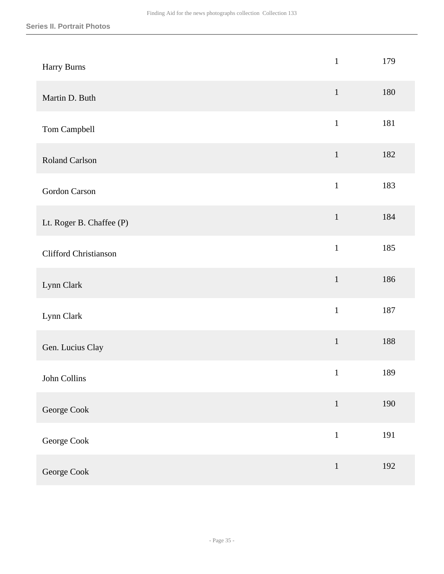| Harry Burns              | $\mathbf{1}$ | 179 |
|--------------------------|--------------|-----|
| Martin D. Buth           | $1\,$        | 180 |
| Tom Campbell             | $\mathbf{1}$ | 181 |
| Roland Carlson           | $\mathbf{1}$ | 182 |
| Gordon Carson            | $\mathbf{1}$ | 183 |
| Lt. Roger B. Chaffee (P) | $\mathbf 1$  | 184 |
| Clifford Christianson    | $\mathbf{1}$ | 185 |
| Lynn Clark               | $\mathbf 1$  | 186 |
| Lynn Clark               | $\mathbf{1}$ | 187 |
| Gen. Lucius Clay         | $\mathbf 1$  | 188 |
| John Collins             | $\mathbf{1}$ | 189 |
| George Cook              | $\mathbf 1$  | 190 |
| George Cook              | $\mathbf 1$  | 191 |
| George Cook              | $\,1\,$      | 192 |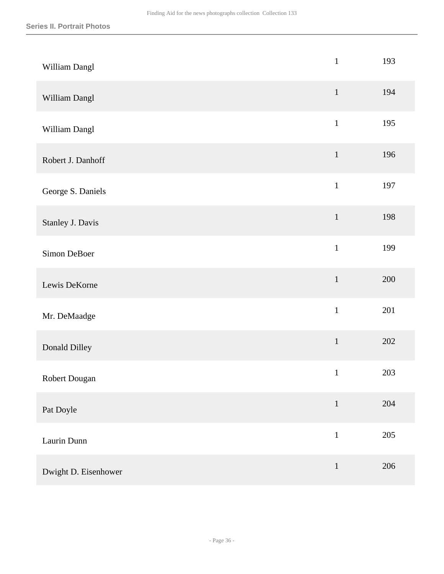| William Dangl        | $\mathbf{1}$ | 193     |
|----------------------|--------------|---------|
| William Dangl        | $\mathbf{1}$ | 194     |
| William Dangl        | $\,1\,$      | 195     |
| Robert J. Danhoff    | $\mathbf{1}$ | 196     |
| George S. Daniels    | $\mathbf{1}$ | 197     |
| Stanley J. Davis     | $\mathbf 1$  | 198     |
| Simon DeBoer         | $\mathbf{1}$ | 199     |
| Lewis DeKorne        | $\,1$        | 200     |
| Mr. DeMaadge         | $\mathbf 1$  | 201     |
| Donald Dilley        | $\mathbf 1$  | 202     |
| Robert Dougan        | $\mathbf{1}$ | $203\,$ |
| Pat Doyle            | $\,1\,$      | 204     |
| Laurin Dunn          | $\mathbf{1}$ | $205\,$ |
| Dwight D. Eisenhower | $\,1\,$      | 206     |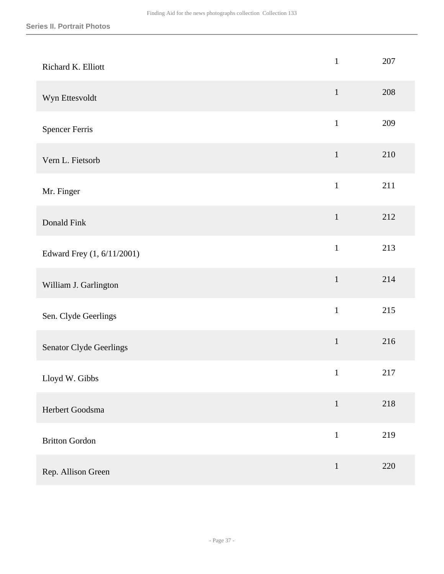| Richard K. Elliott         | $\mathbf{1}$ | 207 |
|----------------------------|--------------|-----|
| Wyn Ettesvoldt             | $\mathbf{1}$ | 208 |
| <b>Spencer Ferris</b>      | $\mathbf{1}$ | 209 |
| Vern L. Fietsorb           | $\mathbf{1}$ | 210 |
| Mr. Finger                 | $\mathbf{1}$ | 211 |
| Donald Fink                | $1\,$        | 212 |
| Edward Frey (1, 6/11/2001) | $\mathbf{1}$ | 213 |
| William J. Garlington      | $\mathbf 1$  | 214 |
| Sen. Clyde Geerlings       | $\mathbf{1}$ | 215 |
| Senator Clyde Geerlings    | $\mathbf 1$  | 216 |
| Lloyd W. Gibbs             | $\mathbf{1}$ | 217 |
| Herbert Goodsma            | $\mathbf{1}$ | 218 |
| <b>Britton Gordon</b>      | $\mathbf{1}$ | 219 |
| Rep. Allison Green         | $\mathbf{1}$ | 220 |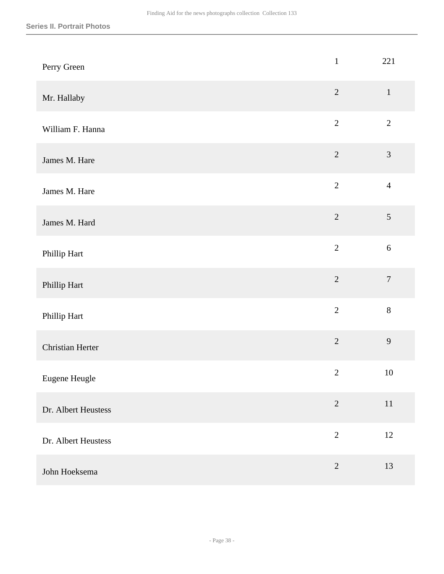| Perry Green         | $\,1$          | 221            |
|---------------------|----------------|----------------|
| Mr. Hallaby         | $\sqrt{2}$     | $\mathbf{1}$   |
| William F. Hanna    | $\sqrt{2}$     | $\overline{2}$ |
| James M. Hare       | $\overline{2}$ | 3              |
| James M. Hare       | $\overline{2}$ | $\overline{4}$ |
| James M. Hard       | $\overline{2}$ | 5              |
| Phillip Hart        | $\overline{2}$ | $\sqrt{6}$     |
| Phillip Hart        | $\overline{2}$ | $\overline{7}$ |
| Phillip Hart        | $\overline{2}$ | $8\,$          |
| Christian Herter    | $\overline{2}$ | 9              |
| Eugene Heugle       | $\sqrt{2}$     | 10             |
| Dr. Albert Heustess | $\overline{2}$ | $11\,$         |
| Dr. Albert Heustess | $\overline{2}$ | 12             |
| John Hoeksema       | $\sqrt{2}$     | 13             |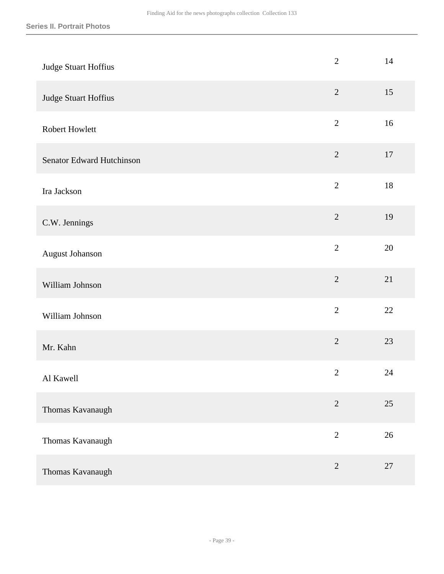| Judge Stuart Hoffius      | $\mathbf{2}$   | 14 |
|---------------------------|----------------|----|
| Judge Stuart Hoffius      | $\sqrt{2}$     | 15 |
| Robert Howlett            | $\overline{2}$ | 16 |
| Senator Edward Hutchinson | $\sqrt{2}$     | 17 |
| Ira Jackson               | $\overline{2}$ | 18 |
| C.W. Jennings             | $\sqrt{2}$     | 19 |
| August Johanson           | $\sqrt{2}$     | 20 |
| William Johnson           | $\overline{2}$ | 21 |
| William Johnson           | $\overline{2}$ | 22 |
| Mr. Kahn                  | $\overline{2}$ | 23 |
| Al Kawell                 | $\mathbf{2}$   | 24 |
| Thomas Kavanaugh          | $\sqrt{2}$     | 25 |
| Thomas Kavanaugh          | $\sqrt{2}$     | 26 |
| Thomas Kavanaugh          | $\sqrt{2}$     | 27 |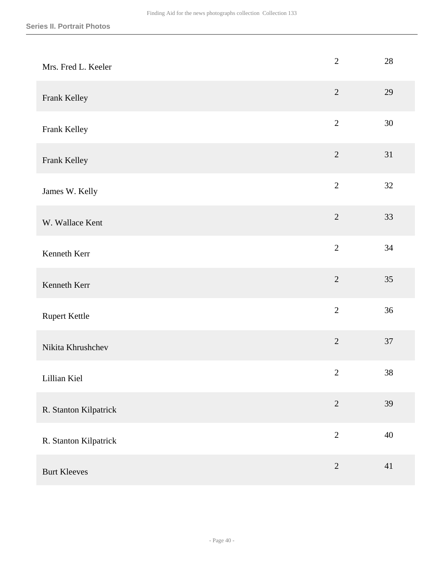| Mrs. Fred L. Keeler   | $\overline{2}$ | 28 |
|-----------------------|----------------|----|
| Frank Kelley          | $\overline{2}$ | 29 |
| Frank Kelley          | $\sqrt{2}$     | 30 |
| Frank Kelley          | $\overline{2}$ | 31 |
| James W. Kelly        | $\overline{2}$ | 32 |
| W. Wallace Kent       | $\overline{2}$ | 33 |
| Kenneth Kerr          | $\overline{2}$ | 34 |
| Kenneth Kerr          | $\overline{2}$ | 35 |
| <b>Rupert Kettle</b>  | $\overline{2}$ | 36 |
| Nikita Khrushchev     | $\overline{2}$ | 37 |
| Lillian Kiel          | $\sqrt{2}$     | 38 |
| R. Stanton Kilpatrick | $\overline{2}$ | 39 |
| R. Stanton Kilpatrick | $\overline{2}$ | 40 |
| <b>Burt Kleeves</b>   | $\sqrt{2}$     | 41 |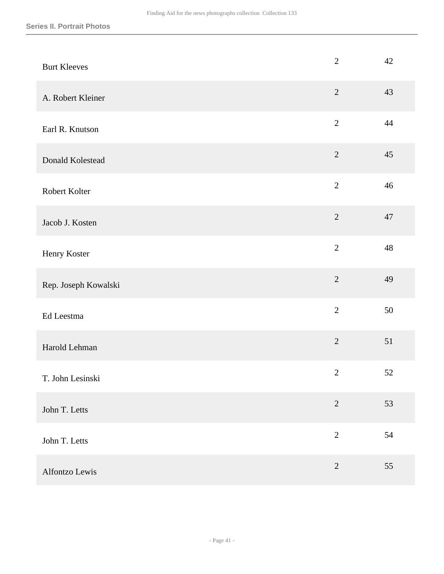| <b>Burt Kleeves</b>  | $\mathbf{2}$   | 42 |
|----------------------|----------------|----|
| A. Robert Kleiner    | $\overline{2}$ | 43 |
| Earl R. Knutson      | $\overline{2}$ | 44 |
| Donald Kolestead     | $\overline{2}$ | 45 |
| Robert Kolter        | $\overline{2}$ | 46 |
| Jacob J. Kosten      | $\overline{2}$ | 47 |
| Henry Koster         | $\overline{2}$ | 48 |
| Rep. Joseph Kowalski | $\overline{2}$ | 49 |
| Ed Leestma           | $\overline{2}$ | 50 |
| Harold Lehman        | $\overline{2}$ | 51 |
| T. John Lesinski     | $\overline{2}$ | 52 |
| John T. Letts        | $\overline{2}$ | 53 |
| John T. Letts        | $\overline{2}$ | 54 |
| Alfontzo Lewis       | $\sqrt{2}$     | 55 |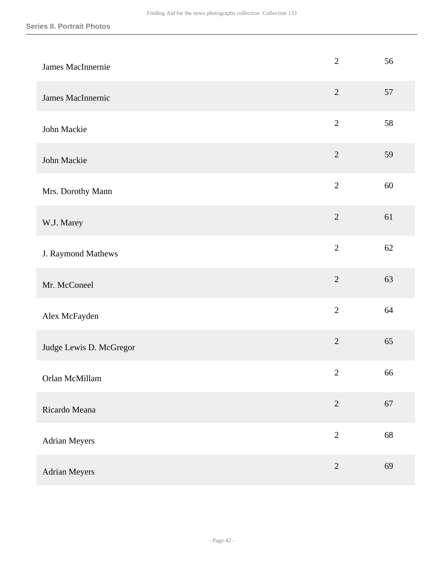| James MacInnernie       | $\overline{2}$ | 56 |
|-------------------------|----------------|----|
| James MacInnernic       | $\overline{2}$ | 57 |
| John Mackie             | $\overline{2}$ | 58 |
| John Mackie             | $\overline{2}$ | 59 |
| Mrs. Dorothy Mann       | $\overline{2}$ | 60 |
| W.J. Marey              | $\overline{2}$ | 61 |
| J. Raymond Mathews      | $\overline{2}$ | 62 |
| Mr. McConeel            | $\overline{2}$ | 63 |
| Alex McFayden           | $\overline{2}$ | 64 |
| Judge Lewis D. McGregor | $\overline{2}$ | 65 |
| Orlan McMillam          | $\overline{2}$ | 66 |
| Ricardo Meana           | $\sqrt{2}$     | 67 |
| Adrian Meyers           | $\overline{2}$ | 68 |
| <b>Adrian Meyers</b>    | $\sqrt{2}$     | 69 |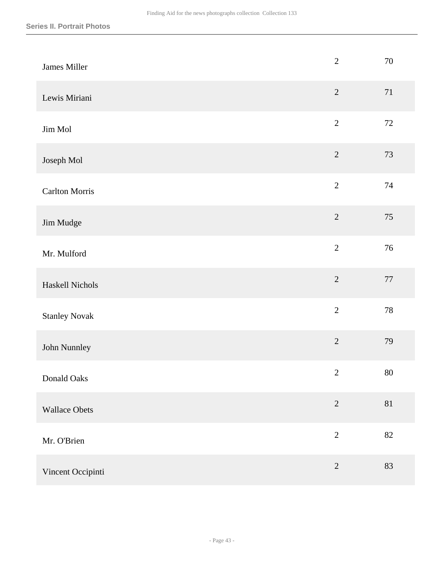| James Miller          | $\overline{2}$ | 70     |
|-----------------------|----------------|--------|
| Lewis Miriani         | $\sqrt{2}$     | $71\,$ |
| Jim Mol               | $\sqrt{2}$     | $72\,$ |
| Joseph Mol            | $\overline{2}$ | 73     |
| <b>Carlton Morris</b> | $\sqrt{2}$     | 74     |
| Jim Mudge             | $\overline{2}$ | 75     |
| Mr. Mulford           | $\overline{2}$ | 76     |
| Haskell Nichols       | $\sqrt{2}$     | $77\,$ |
| <b>Stanley Novak</b>  | $\overline{2}$ | 78     |
| John Nunnley          | $\overline{2}$ | 79     |
| Donald Oaks           | $\sqrt{2}$     | $80\,$ |
| <b>Wallace Obets</b>  | $\sqrt{2}$     | $81\,$ |
| Mr. O'Brien           | $\overline{2}$ | 82     |
| Vincent Occipinti     | $\sqrt{2}$     | 83     |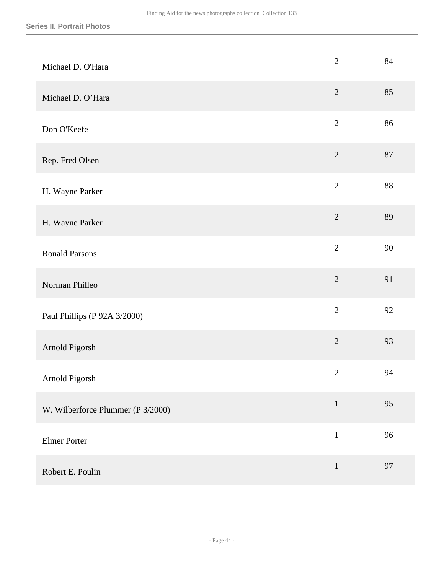| Michael D. O'Hara                 | $\mathbf{2}$   | 84 |
|-----------------------------------|----------------|----|
| Michael D. O'Hara                 | $\sqrt{2}$     | 85 |
| Don O'Keefe                       | $\overline{2}$ | 86 |
| Rep. Fred Olsen                   | $\overline{2}$ | 87 |
| H. Wayne Parker                   | $\overline{2}$ | 88 |
| H. Wayne Parker                   | $\overline{2}$ | 89 |
| <b>Ronald Parsons</b>             | $\overline{2}$ | 90 |
| Norman Philleo                    | $\sqrt{2}$     | 91 |
| Paul Phillips (P 92A 3/2000)      | $\overline{2}$ | 92 |
| Arnold Pigorsh                    | $\overline{2}$ | 93 |
| Arnold Pigorsh                    | $\sqrt{2}$     | 94 |
| W. Wilberforce Plummer (P 3/2000) | $\mathbf{1}$   | 95 |
| <b>Elmer Porter</b>               | $\mathbf{1}$   | 96 |
| Robert E. Poulin                  | $\mathbf 1$    | 97 |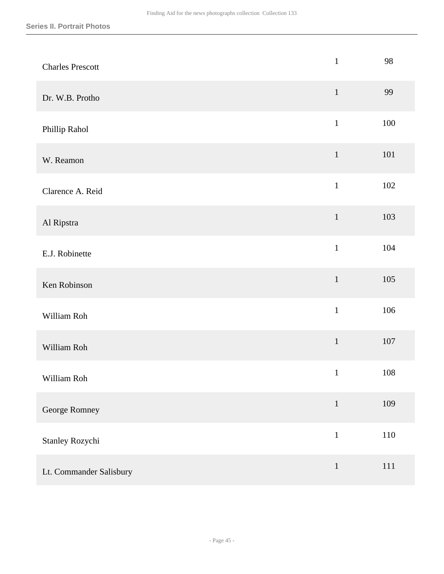| <b>Charles Prescott</b> | $\mathbf{1}$ | 98      |
|-------------------------|--------------|---------|
| Dr. W.B. Protho         | $1\,$        | 99      |
| Phillip Rahol           | $\,1$        | 100     |
| W. Reamon               | $\mathbf{1}$ | 101     |
| Clarence A. Reid        | $\mathbf{1}$ | 102     |
| Al Ripstra              | $1\,$        | 103     |
| E.J. Robinette          | $\mathbf{1}$ | 104     |
| Ken Robinson            | $\mathbf 1$  | 105     |
| William Roh             | $\mathbf{1}$ | 106     |
| William Roh             | $\,1\,$      | $107\,$ |
| William Roh             | $\mathbf{1}$ | $108\,$ |
| George Romney           | $\mathbf 1$  | 109     |
| Stanley Rozychi         | $\mathbf{1}$ | $110\,$ |
| Lt. Commander Salisbury | $\,1\,$      | $111\,$ |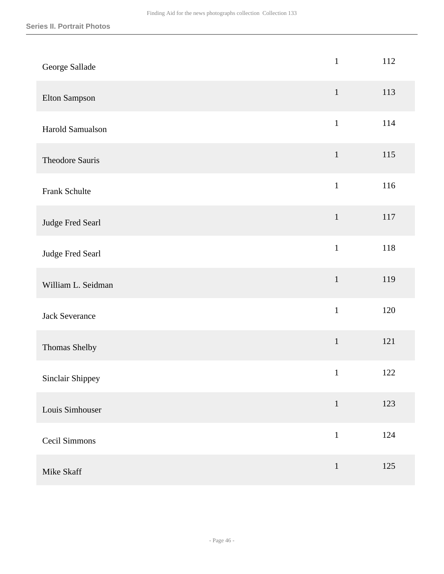| George Sallade        | $\mathbf{1}$ | 112 |
|-----------------------|--------------|-----|
| Elton Sampson         | $1\,$        | 113 |
| Harold Samualson      | $\mathbf 1$  | 114 |
| Theodore Sauris       | $\mathbf{1}$ | 115 |
| <b>Frank Schulte</b>  | $\mathbf 1$  | 116 |
| Judge Fred Searl      | $\mathbf 1$  | 117 |
| Judge Fred Searl      | $\mathbf{1}$ | 118 |
| William L. Seidman    | $\,1$        | 119 |
| <b>Jack Severance</b> | $\mathbf{1}$ | 120 |
| Thomas Shelby         | $\mathbf 1$  | 121 |
| Sinclair Shippey      | $\mathbf{1}$ | 122 |
| Louis Simhouser       | $\mathbf{1}$ | 123 |
| Cecil Simmons         | $\mathbf 1$  | 124 |
| Mike Skaff            | $\,1\,$      | 125 |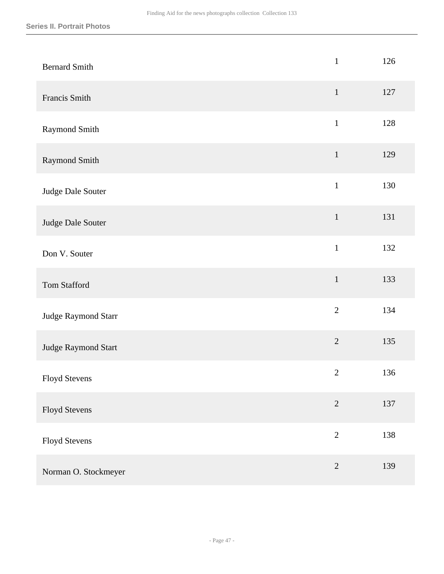| <b>Bernard Smith</b> | $\mathbf{1}$   | 126 |
|----------------------|----------------|-----|
| Francis Smith        | $\,1$          | 127 |
| Raymond Smith        | $\,1$          | 128 |
| Raymond Smith        | $\mathbf{1}$   | 129 |
| Judge Dale Souter    | $\mathbf{1}$   | 130 |
| Judge Dale Souter    | $\mathbf 1$    | 131 |
| Don V. Souter        | $\mathbf{1}$   | 132 |
| Tom Stafford         | $\mathbf 1$    | 133 |
| Judge Raymond Starr  | $\overline{2}$ | 134 |
| Judge Raymond Start  | $\overline{2}$ | 135 |
| <b>Floyd Stevens</b> | $\mathbf{2}$   | 136 |
| <b>Floyd Stevens</b> | $\overline{2}$ | 137 |
| Floyd Stevens        | $\overline{2}$ | 138 |
| Norman O. Stockmeyer | $\sqrt{2}$     | 139 |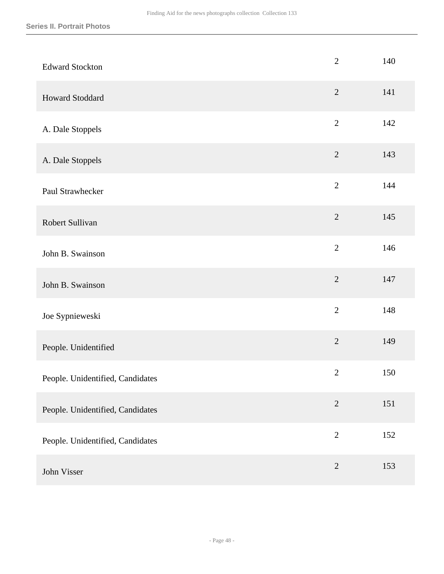| <b>Edward Stockton</b>           | $\overline{2}$ | 140 |
|----------------------------------|----------------|-----|
| <b>Howard Stoddard</b>           | $\sqrt{2}$     | 141 |
| A. Dale Stoppels                 | $\overline{2}$ | 142 |
| A. Dale Stoppels                 | $\overline{2}$ | 143 |
| Paul Strawhecker                 | $\overline{2}$ | 144 |
| Robert Sullivan                  | $\overline{2}$ | 145 |
| John B. Swainson                 | $\overline{2}$ | 146 |
| John B. Swainson                 | $\sqrt{2}$     | 147 |
| Joe Sypnieweski                  | $\overline{2}$ | 148 |
| People. Unidentified             | $\overline{2}$ | 149 |
| People. Unidentified, Candidates | $\mathbf{2}$   | 150 |
| People. Unidentified, Candidates | $\overline{2}$ | 151 |
| People. Unidentified, Candidates | $\overline{2}$ | 152 |
| John Visser                      | $\sqrt{2}$     | 153 |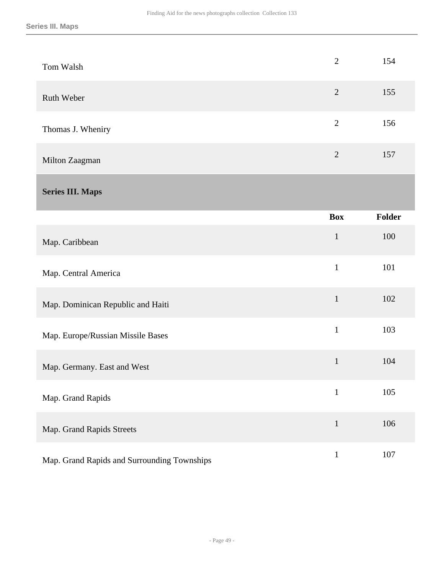<span id="page-48-0"></span>

| Tom Walsh                                   | $\overline{2}$ | 154           |
|---------------------------------------------|----------------|---------------|
| Ruth Weber                                  | $\overline{2}$ | 155           |
| Thomas J. Wheniry                           | $\overline{2}$ | 156           |
| Milton Zaagman                              | $\overline{2}$ | 157           |
| <b>Series III. Maps</b>                     |                |               |
|                                             | <b>Box</b>     | <b>Folder</b> |
| Map. Caribbean                              | $\mathbf{1}$   | 100           |
| Map. Central America                        | $\mathbf{1}$   | 101           |
| Map. Dominican Republic and Haiti           | $\mathbf{1}$   | 102           |
| Map. Europe/Russian Missile Bases           | $\mathbf{1}$   | 103           |
| Map. Germany. East and West                 | $\mathbf{1}$   | 104           |
| Map. Grand Rapids                           | $\mathbf{1}$   | 105           |
| Map. Grand Rapids Streets                   | $\mathbf 1$    | 106           |
| Map. Grand Rapids and Surrounding Townships | $\mathbf{1}$   | 107           |